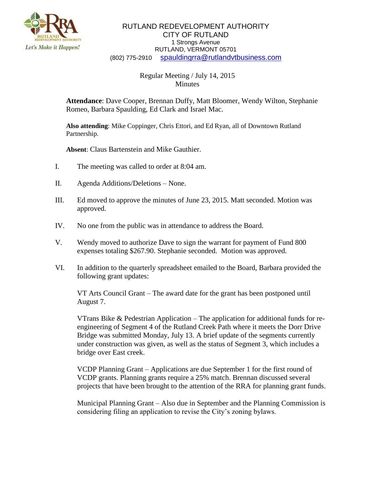

## RUTLAND REDEVELOPMENT AUTHORITY CITY OF RUTLAND 1 Strongs Avenue RUTLAND, VERMONT 05701 (802) 775-2910 [spauldingrra@rutlandvtbusiness.com](mailto:allenrra@rutlandvtbusiness.com)

## Regular Meeting / July 14, 2015 Minutes

**Attendance**: Dave Cooper, Brennan Duffy, Matt Bloomer, Wendy Wilton, Stephanie Romeo, Barbara Spaulding, Ed Clark and Israel Mac.

**Also attending**: Mike Coppinger, Chris Ettori, and Ed Ryan, all of Downtown Rutland Partnership.

**Absent**: Claus Bartenstein and Mike Gauthier.

- I. The meeting was called to order at 8:04 am.
- II. Agenda Additions/Deletions None.
- III. Ed moved to approve the minutes of June 23, 2015. Matt seconded. Motion was approved.
- IV. No one from the public was in attendance to address the Board.
- V. Wendy moved to authorize Dave to sign the warrant for payment of Fund 800 expenses totaling \$267.90. Stephanie seconded. Motion was approved.
- VI. In addition to the quarterly spreadsheet emailed to the Board, Barbara provided the following grant updates:

VT Arts Council Grant – The award date for the grant has been postponed until August 7.

VTrans Bike  $\&$  Pedestrian Application – The application for additional funds for reengineering of Segment 4 of the Rutland Creek Path where it meets the Dorr Drive Bridge was submitted Monday, July 13. A brief update of the segments currently under construction was given, as well as the status of Segment 3, which includes a bridge over East creek.

VCDP Planning Grant – Applications are due September 1 for the first round of VCDP grants. Planning grants require a 25% match. Brennan discussed several projects that have been brought to the attention of the RRA for planning grant funds.

Municipal Planning Grant – Also due in September and the Planning Commission is considering filing an application to revise the City's zoning bylaws.